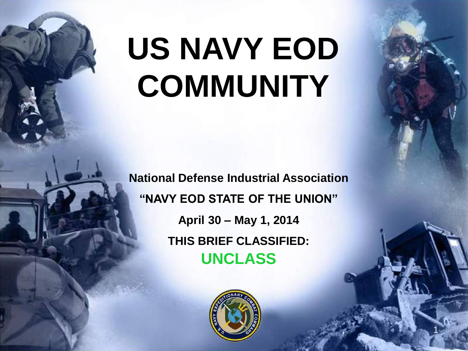# US NAVY EOD **COMMUNITY**

**National Defense Industrial Association "NAVY EOD STATE OF THE UNION" April 30 – May 1, 2014 THIS BRIEF CLASSIFIED: UNCLASS**



**1**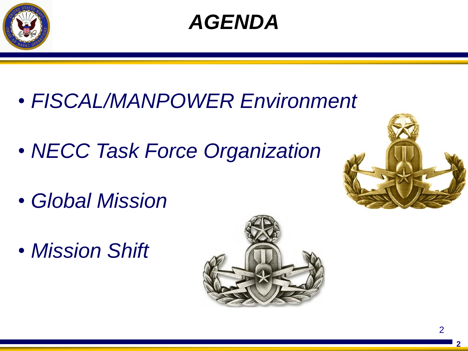



- *FISCAL/MANPOWER Environment*
- *NECC Task Force Organization*
- *Global Mission*
- *Mission Shift*



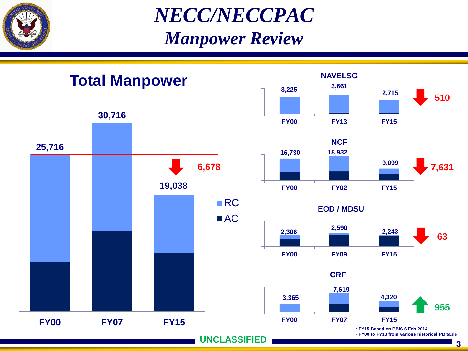

*NECC/NECCPAC Manpower Review*

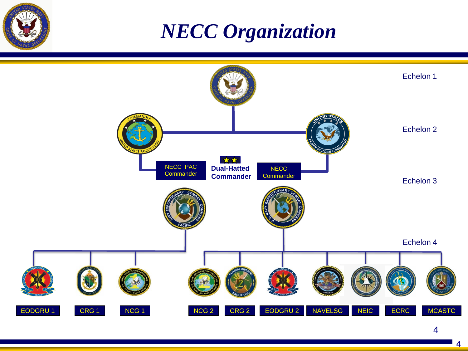

### *NECC Organization*



4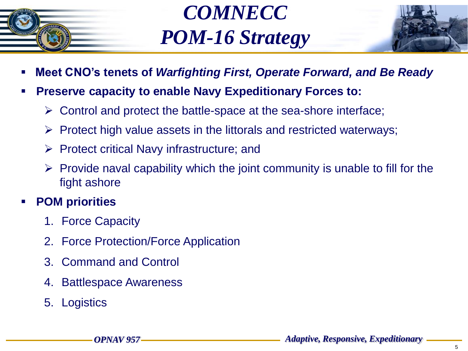

### *COMNECC POM-16 Strategy*



- **Meet CNO's tenets of** *Warfighting First, Operate Forward, and Be Ready*
- **Preserve capacity to enable Navy Expeditionary Forces to:**
	- $\triangleright$  Control and protect the battle-space at the sea-shore interface;
	- $\triangleright$  Protect high value assets in the littorals and restricted waterways;
	- $\triangleright$  Protect critical Navy infrastructure; and
	- $\triangleright$  Provide naval capability which the joint community is unable to fill for the fight ashore

#### **POM priorities**

- 1. Force Capacity
- 2. Force Protection/Force Application
- 3. Command and Control
- 4. Battlespace Awareness
- 5. Logistics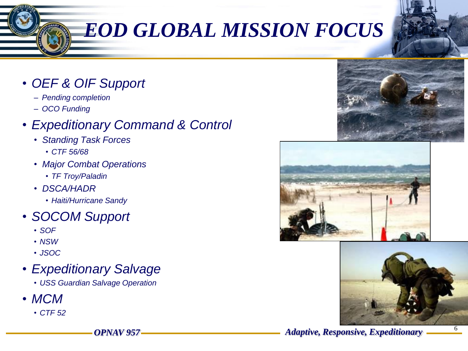# *EOD GLOBAL MISSION FOCUS*

- *OEF & OIF Support* 
	- *Pending completion*
	- *OCO Funding*

#### • *Expeditionary Command & Control*

- *Standing Task Forces* 
	- *CTF 56/68*
- *Major Combat Operations*
	- *TF Troy/Paladin*
- *DSCA/HADR*
	- *Haiti/Hurricane Sandy*
- *SOCOM Support*
	- *SOF*
	- *NSW*
	- *JSOC*
- *Expeditionary Salvage*
	- *USS Guardian Salvage Operation*
- *MCM* 
	- *CTF 52*







*OPNAV 957 Adaptive, Responsive, Expeditionary*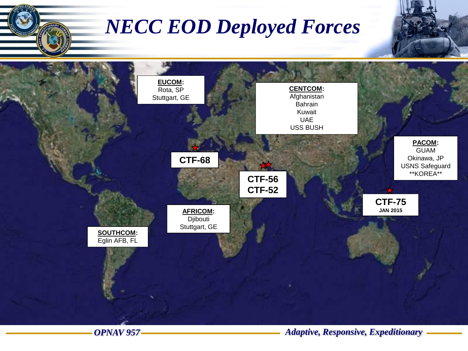

#### *OPNAV 957 Adaptive, Responsive, Expeditionary*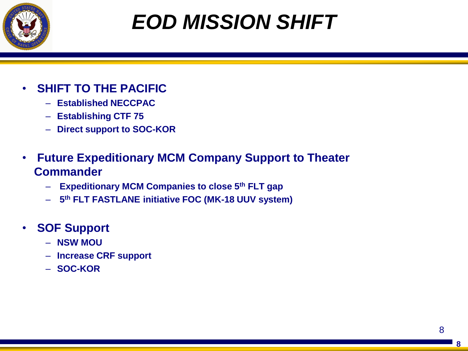

# *EOD MISSION SHIFT*

- **SHIFT TO THE PACIFIC**
	- **Established NECCPAC**
	- **Establishing CTF 75**
	- **Direct support to SOC-KOR**
- **Future Expeditionary MCM Company Support to Theater Commander**
	- **Expeditionary MCM Companies to close 5th FLT gap**
	- **5 th FLT FASTLANE initiative FOC (MK-18 UUV system)**
- **SOF Support**
	- **NSW MOU**
	- **Increase CRF support**
	- **SOC-KOR**